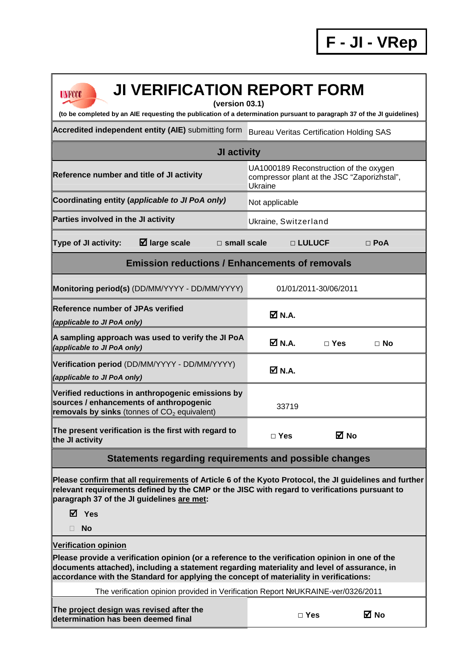**F - JI - VRep**

| <b>JI VERIFICATION REPORT FORM</b><br><b>UNFCCC</b><br>(version 03.1)                                                                                                                                                                                                                                                   |                                                                                                  |               |             |  |  |  |  |  |  |
|-------------------------------------------------------------------------------------------------------------------------------------------------------------------------------------------------------------------------------------------------------------------------------------------------------------------------|--------------------------------------------------------------------------------------------------|---------------|-------------|--|--|--|--|--|--|
| (to be completed by an AIE requesting the publication of a determination pursuant to paragraph 37 of the JI guidelines)                                                                                                                                                                                                 |                                                                                                  |               |             |  |  |  |  |  |  |
| Accredited independent entity (AIE) submitting form                                                                                                                                                                                                                                                                     | <b>Bureau Veritas Certification Holding SAS</b>                                                  |               |             |  |  |  |  |  |  |
| <b>JI activity</b>                                                                                                                                                                                                                                                                                                      |                                                                                                  |               |             |  |  |  |  |  |  |
| Reference number and title of JI activity                                                                                                                                                                                                                                                                               | UA1000189 Reconstruction of the oxygen<br>compressor plant at the JSC "Zaporizhstal",<br>Ukraine |               |             |  |  |  |  |  |  |
| Coordinating entity (applicable to JI PoA only)                                                                                                                                                                                                                                                                         | Not applicable                                                                                   |               |             |  |  |  |  |  |  |
| Parties involved in the JI activity                                                                                                                                                                                                                                                                                     | Ukraine, Switzerland                                                                             |               |             |  |  |  |  |  |  |
| $\boxtimes$ large scale<br>$\square$ small scale<br><b>Type of JI activity:</b>                                                                                                                                                                                                                                         |                                                                                                  | $\Box$ LULUCF | $\Box$ PoA  |  |  |  |  |  |  |
| <b>Emission reductions / Enhancements of removals</b>                                                                                                                                                                                                                                                                   |                                                                                                  |               |             |  |  |  |  |  |  |
| Monitoring period(s) (DD/MM/YYYY - DD/MM/YYYY)                                                                                                                                                                                                                                                                          | 01/01/2011-30/06/2011                                                                            |               |             |  |  |  |  |  |  |
| <b>Reference number of JPAs verified</b><br>(applicable to JI PoA only)                                                                                                                                                                                                                                                 | M N.A.                                                                                           |               |             |  |  |  |  |  |  |
| A sampling approach was used to verify the JI PoA<br>(applicable to JI PoA only)                                                                                                                                                                                                                                        | <b>☑ N.A.</b>                                                                                    | $\Box$ Yes    | ⊟ No        |  |  |  |  |  |  |
| Verification period (DD/MM/YYYY - DD/MM/YYYY)<br>(applicable to JI PoA only)                                                                                                                                                                                                                                            | $M$ N.A.                                                                                         |               |             |  |  |  |  |  |  |
| Verified reductions in anthropogenic emissions by<br>sources / enhancements of anthropogenic<br>removals by sinks (tonnes of $CO2$ equivalent)                                                                                                                                                                          | 33719                                                                                            |               |             |  |  |  |  |  |  |
| The present verification is the first with regard to<br>the JI activity                                                                                                                                                                                                                                                 | $\Box$ Yes                                                                                       |               | <b>⊠</b> No |  |  |  |  |  |  |
| Statements regarding requirements and possible changes                                                                                                                                                                                                                                                                  |                                                                                                  |               |             |  |  |  |  |  |  |
| Please confirm that all requirements of Article 6 of the Kyoto Protocol, the JI guidelines and further<br>relevant requirements defined by the CMP or the JISC with regard to verifications pursuant to<br>paragraph 37 of the JI guidelines are met:                                                                   |                                                                                                  |               |             |  |  |  |  |  |  |
| $\boxtimes$ Yes                                                                                                                                                                                                                                                                                                         |                                                                                                  |               |             |  |  |  |  |  |  |
| <b>No</b><br>$\Box$                                                                                                                                                                                                                                                                                                     |                                                                                                  |               |             |  |  |  |  |  |  |
| <b>Verification opinion</b><br>Please provide a verification opinion (or a reference to the verification opinion in one of the<br>documents attached), including a statement regarding materiality and level of assurance, in<br>accordance with the Standard for applying the concept of materiality in verifications: |                                                                                                  |               |             |  |  |  |  |  |  |
| The verification opinion provided in Verification Report NºUKRAINE-ver/0326/2011                                                                                                                                                                                                                                        |                                                                                                  |               |             |  |  |  |  |  |  |
| The project design was revised after the<br>determination has been deemed final                                                                                                                                                                                                                                         |                                                                                                  | $\Box$ Yes    | <b>⊠</b> No |  |  |  |  |  |  |